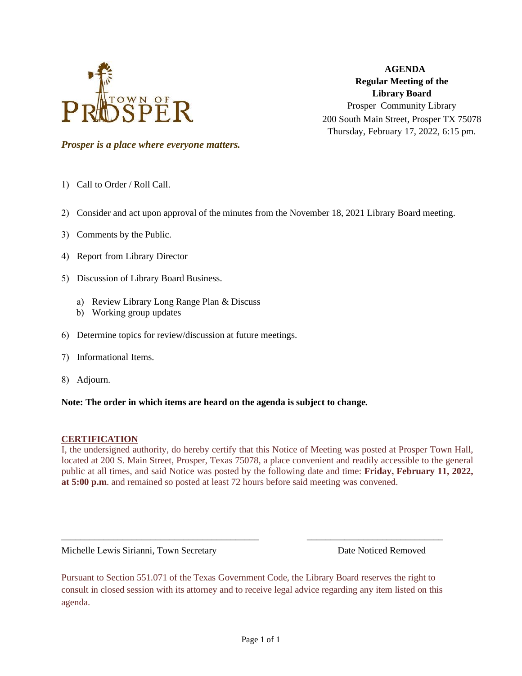

**AGENDA Regular Meeting of the Library Board** Prosper Community Library 200 South Main Street, Prosper TX 75078 Thursday, February 17, 2022, 6:15 pm.

*Prosper is a place where everyone matters.*

- 1) Call to Order / Roll Call.
- 2) Consider and act upon approval of the minutes from the November 18, 2021 Library Board meeting.
- 3) Comments by the Public.
- 4) Report from Library Director
- 5) Discussion of Library Board Business.
	- a) Review Library Long Range Plan & Discuss
	- b) Working group updates
- 6) Determine topics for review/discussion at future meetings.
- 7) Informational Items.
- 8) Adjourn.

### **Note: The order in which items are heard on the agenda is subject to change.**

### **CERTIFICATION**

I, the undersigned authority, do hereby certify that this Notice of Meeting was posted at Prosper Town Hall, located at 200 S. Main Street, Prosper, Texas 75078, a place convenient and readily accessible to the general public at all times, and said Notice was posted by the following date and time: **Friday, February 11, 2022, at 5:00 p.m**. and remained so posted at least 72 hours before said meeting was convened.

Michelle Lewis Sirianni, Town Secretary **Date Noticed Removed** Date Noticed Removed

Pursuant to Section 551.071 of the Texas Government Code, the Library Board reserves the right to consult in closed session with its attorney and to receive legal advice regarding any item listed on this agenda.

\_\_\_\_\_\_\_\_\_\_\_\_\_\_\_\_\_\_\_\_\_\_\_\_\_\_\_\_\_\_\_\_\_\_\_\_\_\_\_\_\_\_ \_\_\_\_\_\_\_\_\_\_\_\_\_\_\_\_\_\_\_\_\_\_\_\_\_\_\_\_\_